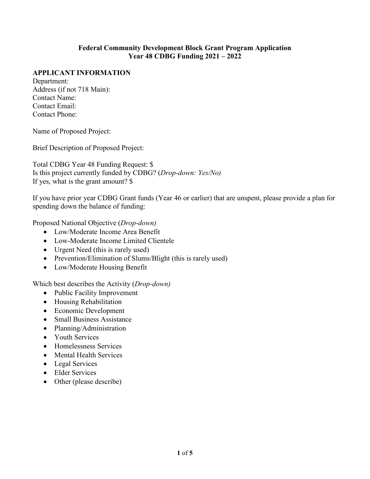#### **Federal Community Development Block Grant Program Application Year 48 CDBG Funding 2021 – 2022**

#### **APPLICANT INFORMATION**

Department: Address (if not 718 Main): Contact Name: Contact Email: Contact Phone:

Name of Proposed Project:

Brief Description of Proposed Project:

Total CDBG Year 48 Funding Request: \$ Is this project currently funded by CDBG? (*Drop-down: Yes/No)* If yes, what is the grant amount? \$

If you have prior year CDBG Grant funds (Year 46 or earlier) that are unspent, please provide a plan for spending down the balance of funding:

Proposed National Objective (*Drop-down)*

- Low/Moderate Income Area Benefit
- Low-Moderate Income Limited Clientele
- Urgent Need (this is rarely used)
- Prevention/Elimination of Slums/Blight (this is rarely used)
- Low/Moderate Housing Benefit

Which best describes the Activity (*Drop-down)*

- Public Facility Improvement
- Housing Rehabilitation
- Economic Development
- Small Business Assistance
- Planning/Administration
- Youth Services
- Homelessness Services
- Mental Health Services
- Legal Services
- Elder Services
- Other (please describe)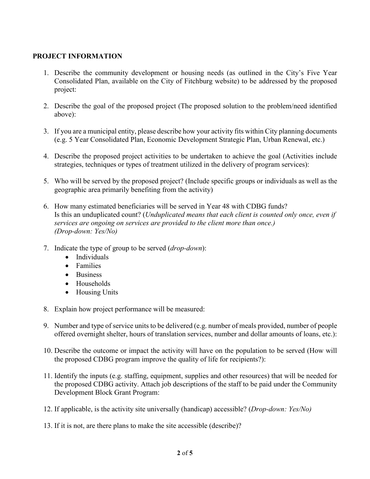## **PROJECT INFORMATION**

- 1. Describe the community development or housing needs (as outlined in the City's Five Year Consolidated Plan, available on the City of Fitchburg website) to be addressed by the proposed project:
- 2. Describe the goal of the proposed project (The proposed solution to the problem/need identified above):
- 3. If you are a municipal entity, please describe how your activity fits within City planning documents (e.g. 5 Year Consolidated Plan, Economic Development Strategic Plan, Urban Renewal, etc.)
- 4. Describe the proposed project activities to be undertaken to achieve the goal (Activities include strategies, techniques or types of treatment utilized in the delivery of program services):
- 5. Who will be served by the proposed project? (Include specific groups or individuals as well as the geographic area primarily benefiting from the activity)
- 6. How many estimated beneficiaries will be served in Year 48 with CDBG funds? Is this an unduplicated count? (*Unduplicated means that each client is counted only once, even if services are ongoing on services are provided to the client more than once.) (Drop-down: Yes/No)*
- 7. Indicate the type of group to be served (*drop-down*):
	- Individuals
	- Families
	- Business
	- Households
	- Housing Units
- 8. Explain how project performance will be measured:
- 9. Number and type of service units to be delivered (e.g. number of meals provided, number of people offered overnight shelter, hours of translation services, number and dollar amounts of loans, etc.):
- 10. Describe the outcome or impact the activity will have on the population to be served (How will the proposed CDBG program improve the quality of life for recipients?):
- 11. Identify the inputs (e.g. staffing, equipment, supplies and other resources) that will be needed for the proposed CDBG activity. Attach job descriptions of the staff to be paid under the Community Development Block Grant Program:
- 12. If applicable, is the activity site universally (handicap) accessible? (*Drop-down: Yes/No)*
- 13. If it is not, are there plans to make the site accessible (describe)?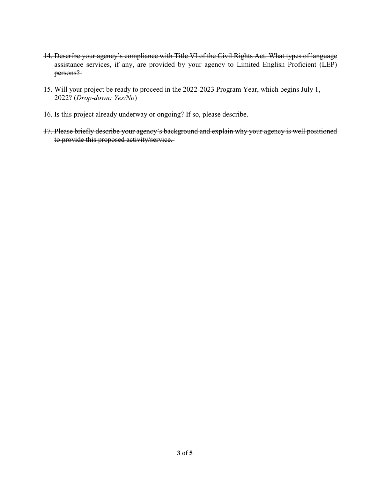- 14. Describe your agency's compliance with Title VI of the Civil Rights Act. What types of language assistance services, if any, are provided by your agency to Limited English Proficient (LEP) persons?
- 15. Will your project be ready to proceed in the 2022-2023 Program Year, which begins July 1, 2022? (*Drop-down: Yes/No*)
- 16. Is this project already underway or ongoing? If so, please describe.
- 17. Please briefly describe your agency's background and explain why your agency is well positioned to provide this proposed activity/service.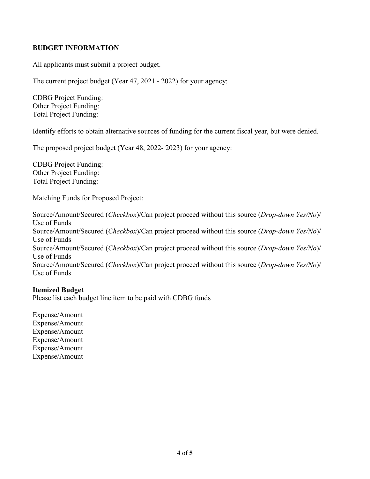## **BUDGET INFORMATION**

All applicants must submit a project budget.

The current project budget (Year 47, 2021 - 2022) for your agency:

CDBG Project Funding: Other Project Funding: Total Project Funding:

Identify efforts to obtain alternative sources of funding for the current fiscal year, but were denied.

The proposed project budget (Year 48, 2022- 2023) for your agency:

CDBG Project Funding: Other Project Funding: Total Project Funding:

Matching Funds for Proposed Project:

Source/Amount/Secured (*Checkbox*)/Can project proceed without this source (*Drop-down Yes/No*)/ Use of Funds Source/Amount/Secured (*Checkbox*)/Can project proceed without this source (*Drop-down Yes/No*)/ Use of Funds Source/Amount/Secured (*Checkbox*)/Can project proceed without this source (*Drop-down Yes/No*)/ Use of Funds Source/Amount/Secured (*Checkbox*)/Can project proceed without this source (*Drop-down Yes/No*)/ Use of Funds

### **Itemized Budget**

Please list each budget line item to be paid with CDBG funds

Expense/Amount Expense/Amount Expense/Amount Expense/Amount Expense/Amount Expense/Amount